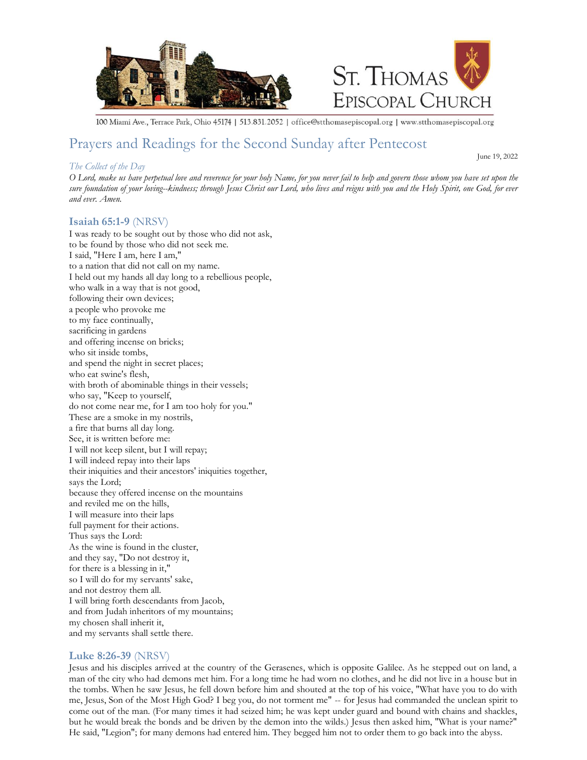



100 Miami Ave., Terrace Park, Ohio 45174 | 513.831.2052 | office@stthomasepiscopal.org | www.stthomasepiscopal.org

# Prayers and Readings for the Second Sunday after Pentecost

## *The Collect of the Day*

June 19, 2022

*O Lord, make us have perpetual love and reverence for your holy Name, for you never fail to help and govern those whom you have set upon the sure foundation of your loving--kindness; through Jesus Christ our Lord, who lives and reigns with you and the Holy Spirit, one God, for ever and ever. Amen.* 

## **Isaiah 65:1-9** (NRSV)

I was ready to be sought out by those who did not ask, to be found by those who did not seek me. I said, "Here I am, here I am," to a nation that did not call on my name. I held out my hands all day long to a rebellious people, who walk in a way that is not good, following their own devices; a people who provoke me to my face continually, sacrificing in gardens and offering incense on bricks; who sit inside tombs, and spend the night in secret places; who eat swine's flesh, with broth of abominable things in their vessels; who say, "Keep to yourself, do not come near me, for I am too holy for you." These are a smoke in my nostrils, a fire that burns all day long. See, it is written before me: I will not keep silent, but I will repay; I will indeed repay into their laps their iniquities and their ancestors' iniquities together, says the Lord; because they offered incense on the mountains and reviled me on the hills, I will measure into their laps full payment for their actions. Thus says the Lord: As the wine is found in the cluster, and they say, "Do not destroy it, for there is a blessing in it," so I will do for my servants' sake, and not destroy them all. I will bring forth descendants from Jacob, and from Judah inheritors of my mountains; my chosen shall inherit it, and my servants shall settle there.

## **Luke 8:26-39** (NRSV)

Jesus and his disciples arrived at the country of the Gerasenes, which is opposite Galilee. As he stepped out on land, a man of the city who had demons met him. For a long time he had worn no clothes, and he did not live in a house but in the tombs. When he saw Jesus, he fell down before him and shouted at the top of his voice, "What have you to do with me, Jesus, Son of the Most High God? I beg you, do not torment me" -- for Jesus had commanded the unclean spirit to come out of the man. (For many times it had seized him; he was kept under guard and bound with chains and shackles, but he would break the bonds and be driven by the demon into the wilds.) Jesus then asked him, "What is your name?" He said, "Legion"; for many demons had entered him. They begged him not to order them to go back into the abyss.